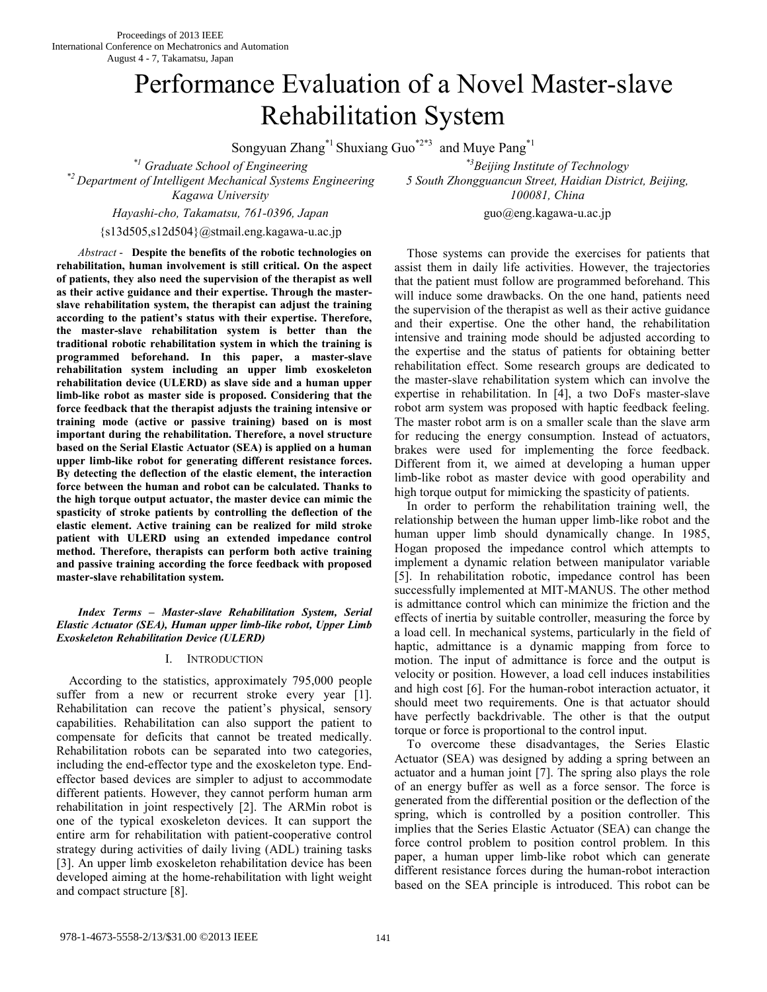# Performance Evaluation of a Novel Master-slave Rehabilitation System

Songyuan Zhang<sup>\*1</sup> Shuxiang Guo<sup>\*2\*3</sup> and Muye Pang<sup>\*1</sup>

*\*1 Graduate School of Engineering \*3* <sup>81</sup> Graduate School of Engineering<br>Department of Intelligent Mechanical Systems Engineering 5 South Zhongguancun Street, Haidian District, Beijing, *Kagawa University 100081, China* 

## *Hayashi-cho, Takamatsu, 761-0396, Japan* guo@eng.kagawa-u.ac.jp

## $\{s13d505, s12d504\}$ @stmail.eng.kagawa-u.ac.jp

*Abstract* - **Despite the benefits of the robotic technologies on rehabilitation, human involvement is still critical. On the aspect of patients, they also need the supervision of the therapist as well as their active guidance and their expertise. Through the masterslave rehabilitation system, the therapist can adjust the training according to the patient's status with their expertise. Therefore, the master-slave rehabilitation system is better than the traditional robotic rehabilitation system in which the training is programmed beforehand. In this paper, a master-slave rehabilitation system including an upper limb exoskeleton rehabilitation device (ULERD) as slave side and a human upper limb-like robot as master side is proposed. Considering that the force feedback that the therapist adjusts the training intensive or training mode (active or passive training) based on is most important during the rehabilitation. Therefore, a novel structure based on the Serial Elastic Actuator (SEA) is applied on a human upper limb-like robot for generating different resistance forces. By detecting the deflection of the elastic element, the interaction force between the human and robot can be calculated. Thanks to the high torque output actuator, the master device can mimic the spasticity of stroke patients by controlling the deflection of the elastic element. Active training can be realized for mild stroke patient with ULERD using an extended impedance control method. Therefore, therapists can perform both active training and passive training according the force feedback with proposed master-slave rehabilitation system.** 

## *Index Terms – Master-slave Rehabilitation System, Serial Elastic Actuator (SEA), Human upper limb-like robot, Upper Limb Exoskeleton Rehabilitation Device (ULERD)*

## I. INTRODUCTION

According to the statistics, approximately 795,000 people suffer from a new or recurrent stroke every year [1]. Rehabilitation can recove the patient's physical, sensory capabilities. Rehabilitation can also support the patient to compensate for deficits that cannot be treated medically. Rehabilitation robots can be separated into two categories, including the end-effector type and the exoskeleton type. Endeffector based devices are simpler to adjust to accommodate different patients. However, they cannot perform human arm rehabilitation in joint respectively [2]. The ARMin robot is one of the typical exoskeleton devices. It can support the entire arm for rehabilitation with patient-cooperative control strategy during activities of daily living (ADL) training tasks [3]. An upper limb exoskeleton rehabilitation device has been developed aiming at the home-rehabilitation with light weight and compact structure [8].

Those systems can provide the exercises for patients that assist them in daily life activities. However, the trajectories that the patient must follow are programmed beforehand. This will induce some drawbacks. On the one hand, patients need the supervision of the therapist as well as their active guidance and their expertise. One the other hand, the rehabilitation intensive and training mode should be adjusted according to the expertise and the status of patients for obtaining better rehabilitation effect. Some research groups are dedicated to the master-slave rehabilitation system which can involve the expertise in rehabilitation. In [4], a two DoFs master-slave robot arm system was proposed with haptic feedback feeling. The master robot arm is on a smaller scale than the slave arm for reducing the energy consumption. Instead of actuators, brakes were used for implementing the force feedback. Different from it, we aimed at developing a human upper limb-like robot as master device with good operability and high torque output for mimicking the spasticity of patients.

In order to perform the rehabilitation training well, the relationship between the human upper limb-like robot and the human upper limb should dynamically change. In 1985, Hogan proposed the impedance control which attempts to implement a dynamic relation between manipulator variable [5]. In rehabilitation robotic, impedance control has been successfully implemented at MIT-MANUS. The other method is admittance control which can minimize the friction and the effects of inertia by suitable controller, measuring the force by a load cell. In mechanical systems, particularly in the field of haptic, admittance is a dynamic mapping from force to motion. The input of admittance is force and the output is velocity or position. However, a load cell induces instabilities and high cost [6]. For the human-robot interaction actuator, it should meet two requirements. One is that actuator should have perfectly backdrivable. The other is that the output torque or force is proportional to the control input.

To overcome these disadvantages, the Series Elastic Actuator (SEA) was designed by adding a spring between an actuator and a human joint [7]. The spring also plays the role of an energy buffer as well as a force sensor. The force is generated from the differential position or the deflection of the spring, which is controlled by a position controller. This implies that the Series Elastic Actuator (SEA) can change the force control problem to position control problem. In this paper, a human upper limb-like robot which can generate different resistance forces during the human-robot interaction based on the SEA principle is introduced. This robot can be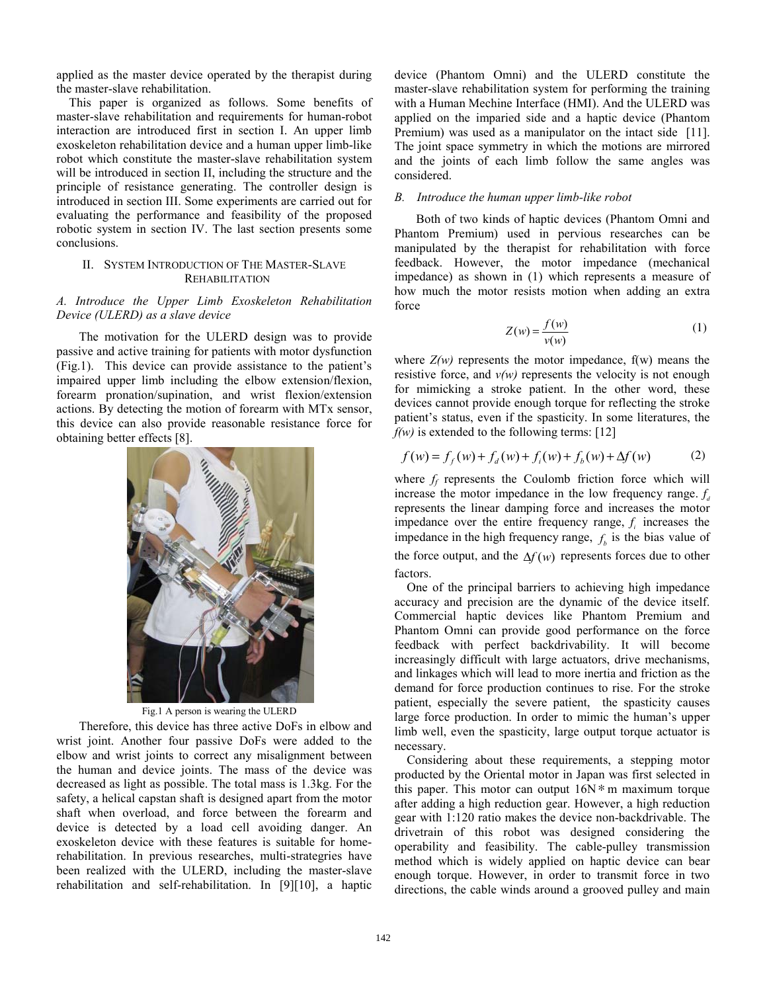applied as the master device operated by the therapist during the master-slave rehabilitation.

This paper is organized as follows. Some benefits of master-slave rehabilitation and requirements for human-robot interaction are introduced first in section I. An upper limb exoskeleton rehabilitation device and a human upper limb-like robot which constitute the master-slave rehabilitation system will be introduced in section II, including the structure and the principle of resistance generating. The controller design is introduced in section III. Some experiments are carried out for evaluating the performance and feasibility of the proposed robotic system in section IV. The last section presents some conclusions.

## II. SYSTEM INTRODUCTION OF THE MASTER-SLAVE **REHABILITATION**

## *A. Introduce the Upper Limb Exoskeleton Rehabilitation Device (ULERD) as a slave device*

 The motivation for the ULERD design was to provide passive and active training for patients with motor dysfunction (Fig.1). This device can provide assistance to the patient's impaired upper limb including the elbow extension/flexion, forearm pronation/supination, and wrist flexion/extension actions. By detecting the motion of forearm with MTx sensor, this device can also provide reasonable resistance force for obtaining better effects [8].



Fig.1 A person is wearing the ULERD

 Therefore, this device has three active DoFs in elbow and wrist joint. Another four passive DoFs were added to the elbow and wrist joints to correct any misalignment between the human and device joints. The mass of the device was decreased as light as possible. The total mass is 1.3kg. For the safety, a helical capstan shaft is designed apart from the motor shaft when overload, and force between the forearm and device is detected by a load cell avoiding danger. An exoskeleton device with these features is suitable for homerehabilitation. In previous researches, multi-strategries have been realized with the ULERD, including the master-slave rehabilitation and self-rehabilitation. In [9][10], a haptic device (Phantom Omni) and the ULERD constitute the master-slave rehabilitation system for performing the training with a Human Mechine Interface (HMI). And the ULERD was applied on the imparied side and a haptic device (Phantom Premium) was used as a manipulator on the intact side [11]. The joint space symmetry in which the motions are mirrored and the joints of each limb follow the same angles was considered.

#### *B. Introduce the human upper limb-like robot*

Both of two kinds of haptic devices (Phantom Omni and Phantom Premium) used in pervious researches can be manipulated by the therapist for rehabilitation with force feedback. However, the motor impedance (mechanical impedance) as shown in (1) which represents a measure of how much the motor resists motion when adding an extra force

$$
Z(w) = \frac{f(w)}{v(w)}\tag{1}
$$

where  $Z(w)$  represents the motor impedance,  $f(w)$  means the resistive force, and  $v(w)$  represents the velocity is not enough for mimicking a stroke patient. In the other word, these devices cannot provide enough torque for reflecting the stroke patient's status, even if the spasticity. In some literatures, the  $f(w)$  is extended to the following terms: [12]

$$
f(w) = f_f(w) + f_d(w) + f_i(w) + f_b(w) + \Delta f(w)
$$
 (2)

where  $f_f$  represents the Coulomb friction force which will increase the motor impedance in the low frequency range.  $f_d$ represents the linear damping force and increases the motor impedance over the entire frequency range, *fi* increases the impedance in the high frequency range,  $f<sub>k</sub>$  is the bias value of the force output, and the  $\Delta f(w)$  represents forces due to other factors.

One of the principal barriers to achieving high impedance accuracy and precision are the dynamic of the device itself. Commercial haptic devices like Phantom Premium and Phantom Omni can provide good performance on the force feedback with perfect backdrivability. It will become increasingly difficult with large actuators, drive mechanisms, and linkages which will lead to more inertia and friction as the demand for force production continues to rise. For the stroke patient, especially the severe patient, the spasticity causes large force production. In order to mimic the human's upper limb well, even the spasticity, large output torque actuator is necessary.

Considering about these requirements, a stepping motor producted by the Oriental motor in Japan was first selected in this paper. This motor can output 16N∗ m maximum torque after adding a high reduction gear. However, a high reduction gear with 1:120 ratio makes the device non-backdrivable. The drivetrain of this robot was designed considering the operability and feasibility. The cable-pulley transmission method which is widely applied on haptic device can bear enough torque. However, in order to transmit force in two directions, the cable winds around a grooved pulley and main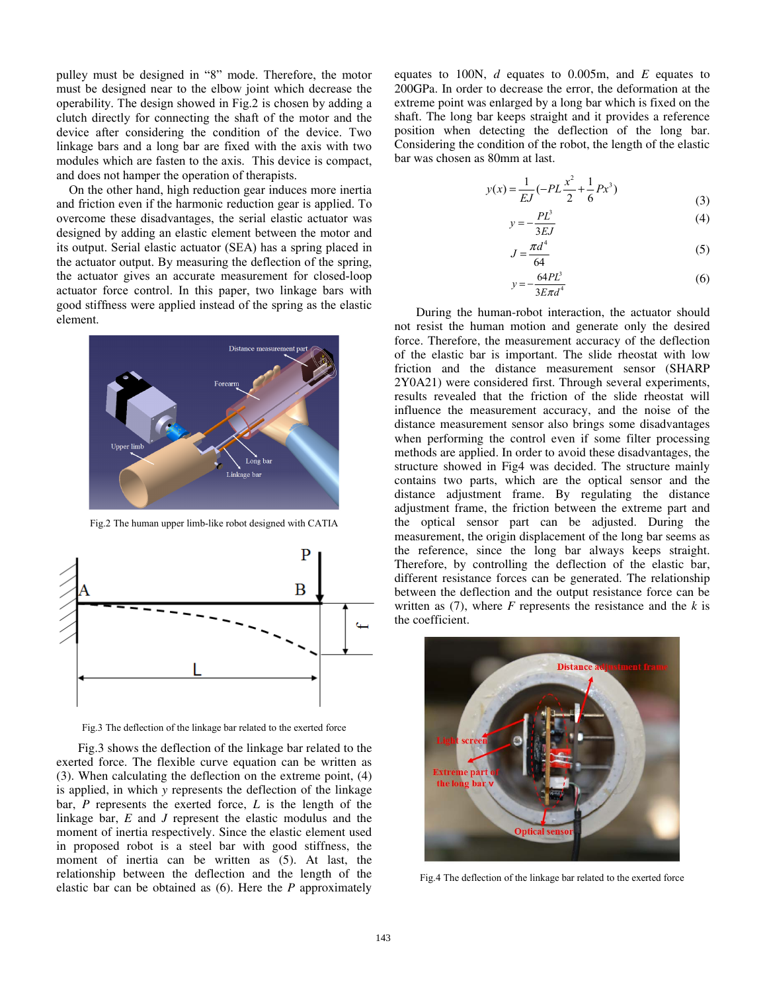pulley must be designed in "8" mode. Therefore, the motor must be designed near to the elbow joint which decrease the operability. The design showed in Fig.2 is chosen by adding a clutch directly for connecting the shaft of the motor and the device after considering the condition of the device. Two linkage bars and a long bar are fixed with the axis with two modules which are fasten to the axis. This device is compact, and does not hamper the operation of therapists.

On the other hand, high reduction gear induces more inertia and friction even if the harmonic reduction gear is applied. To overcome these disadvantages, the serial elastic actuator was designed by adding an elastic element between the motor and its output. Serial elastic actuator (SEA) has a spring placed in the actuator output. By measuring the deflection of the spring, the actuator gives an accurate measurement for closed-loop actuator force control. In this paper, two linkage bars with good stiffness were applied instead of the spring as the elastic element.



Fig.2 The human upper limb-like robot designed with CATIA



Fig.3 The deflection of the linkage bar related to the exerted force

Fig.3 shows the deflection of the linkage bar related to the exerted force. The flexible curve equation can be written as (3). When calculating the deflection on the extreme point, (4) is applied, in which *y* represents the deflection of the linkage bar, *P* represents the exerted force, *L* is the length of the linkage bar, *E* and *J* represent the elastic modulus and the moment of inertia respectively. Since the elastic element used in proposed robot is a steel bar with good stiffness, the moment of inertia can be written as (5). At last, the relationship between the deflection and the length of the elastic bar can be obtained as (6). Here the *P* approximately

equates to 100N, *d* equates to 0.005m, and *E* equates to 200GPa. In order to decrease the error, the deformation at the extreme point was enlarged by a long bar which is fixed on the shaft. The long bar keeps straight and it provides a reference position when detecting the deflection of the long bar. Considering the condition of the robot, the length of the elastic bar was chosen as 80mm at last.

$$
y(x) = \frac{1}{EJ}(-PL\frac{x^2}{2} + \frac{1}{6}Px^3)
$$
 (3)

$$
y = -\frac{PL^3}{3EJ}
$$
 (4)

$$
J = \frac{\pi d^4}{64} \tag{5}
$$

$$
y = -\frac{64PL^3}{3E\pi d^4} \tag{6}
$$

During the human-robot interaction, the actuator should not resist the human motion and generate only the desired force. Therefore, the measurement accuracy of the deflection of the elastic bar is important. The slide rheostat with low friction and the distance measurement sensor (SHARP 2Y0A21) were considered first. Through several experiments, results revealed that the friction of the slide rheostat will influence the measurement accuracy, and the noise of the distance measurement sensor also brings some disadvantages when performing the control even if some filter processing methods are applied. In order to avoid these disadvantages, the structure showed in Fig4 was decided. The structure mainly contains two parts, which are the optical sensor and the distance adjustment frame. By regulating the distance adjustment frame, the friction between the extreme part and the optical sensor part can be adjusted. During the measurement, the origin displacement of the long bar seems as the reference, since the long bar always keeps straight. Therefore, by controlling the deflection of the elastic bar, different resistance forces can be generated. The relationship between the deflection and the output resistance force can be written as  $(7)$ , where *F* represents the resistance and the *k* is the coefficient.



Fig.4 The deflection of the linkage bar related to the exerted force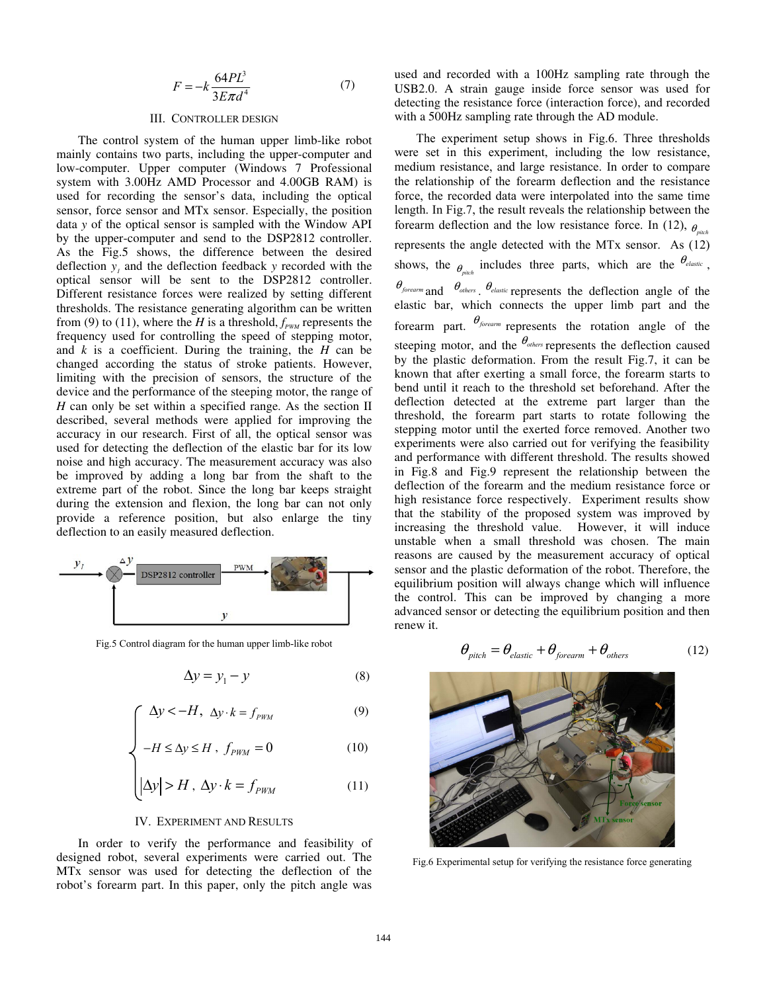$$
F = -k \frac{64PL^3}{3E\pi d^4} \tag{7}
$$

### III. CONTROLLER DESIGN

The control system of the human upper limb-like robot mainly contains two parts, including the upper-computer and low-computer. Upper computer (Windows 7 Professional system with 3.00Hz AMD Processor and 4.00GB RAM) is used for recording the sensor's data, including the optical sensor, force sensor and MTx sensor. Especially, the position data *y* of the optical sensor is sampled with the Window API by the upper-computer and send to the DSP2812 controller. As the Fig.5 shows, the difference between the desired deflection  $y_i$  and the deflection feedback  $y$  recorded with the optical sensor will be sent to the DSP2812 controller. Different resistance forces were realized by setting different thresholds. The resistance generating algorithm can be written from (9) to (11), where the *H* is a threshold,  $f_{p_{WM}}$  represents the frequency used for controlling the speed of stepping motor, and *k* is a coefficient. During the training, the *H* can be changed according the status of stroke patients. However, limiting with the precision of sensors, the structure of the device and the performance of the steeping motor, the range of *H* can only be set within a specified range. As the section II described, several methods were applied for improving the accuracy in our research. First of all, the optical sensor was used for detecting the deflection of the elastic bar for its low noise and high accuracy. The measurement accuracy was also be improved by adding a long bar from the shaft to the extreme part of the robot. Since the long bar keeps straight during the extension and flexion, the long bar can not only provide a reference position, but also enlarge the tiny deflection to an easily measured deflection.



Fig.5 Control diagram for the human upper limb-like robot

$$
\Delta y = y_1 - y \tag{8}
$$

$$
\Delta y < -H, \ \Delta y \cdot k = f_{\text{PWM}} \tag{9}
$$

$$
\left\langle -H \le \Delta y \le H \, , \, f_{\text{PWM}} = 0 \right. \tag{10}
$$

$$
|\Delta y| > H \,, \ \Delta y \cdot k = f_{\text{PWM}} \tag{11}
$$

#### IV. EXPERIMENT AND RESULTS

In order to verify the performance and feasibility of designed robot, several experiments were carried out. The MTx sensor was used for detecting the deflection of the robot's forearm part. In this paper, only the pitch angle was used and recorded with a 100Hz sampling rate through the USB2.0. A strain gauge inside force sensor was used for detecting the resistance force (interaction force), and recorded with a 500Hz sampling rate through the AD module.

 The experiment setup shows in Fig.6. Three thresholds were set in this experiment, including the low resistance, medium resistance, and large resistance. In order to compare the relationship of the forearm deflection and the resistance force, the recorded data were interpolated into the same time length. In Fig.7, the result reveals the relationship between the forearm deflection and the low resistance force. In (12),  $\theta_{\text{pitch}}$ represents the angle detected with the MTx sensor. As (12) shows, the  $\theta_{\text{prior}}$  includes three parts, which are the  $\theta_{\text{elastic}}$ , <sup>θ</sup> *forearm* and <sup>θ</sup>*others* . <sup>θ</sup>*elastic* represents the deflection angle of the elastic bar, which connects the upper limb part and the forearm part.  $\theta_{\text{forearm}}$  represents the rotation angle of the steeping motor, and the  $\theta_{\text{others}}$  represents the deflection caused by the plastic deformation. From the result Fig.7, it can be known that after exerting a small force, the forearm starts to bend until it reach to the threshold set beforehand. After the deflection detected at the extreme part larger than the threshold, the forearm part starts to rotate following the stepping motor until the exerted force removed. Another two experiments were also carried out for verifying the feasibility and performance with different threshold. The results showed in Fig.8 and Fig.9 represent the relationship between the deflection of the forearm and the medium resistance force or high resistance force respectively. Experiment results show that the stability of the proposed system was improved by increasing the threshold value. However, it will induce unstable when a small threshold was chosen. The main reasons are caused by the measurement accuracy of optical sensor and the plastic deformation of the robot. Therefore, the equilibrium position will always change which will influence the control. This can be improved by changing a more advanced sensor or detecting the equilibrium position and then renew it.

$$
\theta_{pitch} = \theta_{elastic} + \theta_{forearm} + \theta_{others}
$$
 (12)



Fig.6 Experimental setup for verifying the resistance force generating